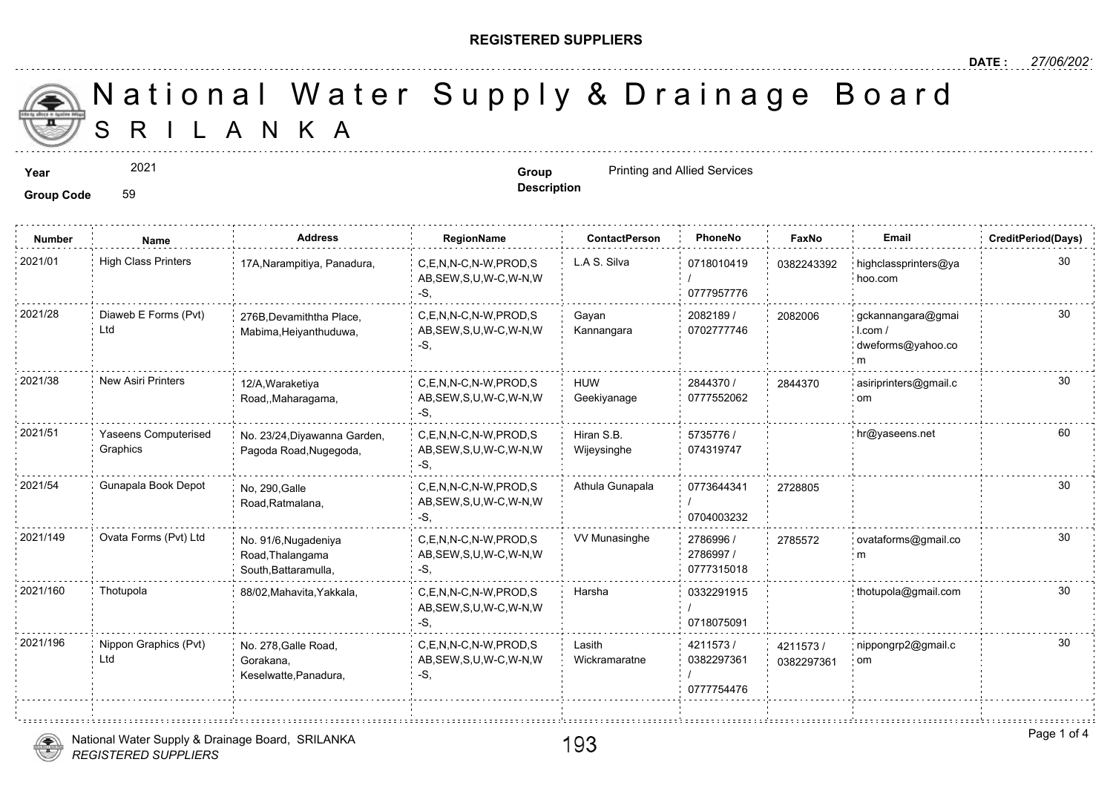## **REGISTERED SUPPLIERS**

S R I L A N K A National Water Supply & Drainage

2021

**Group Code** 59

**Year Group Group Group Group Group Group Printing and Allied Services** 

|  |  | <b>Description</b> |
|--|--|--------------------|
|  |  |                    |

| <b>Number</b> | Name                             | <b>Address</b>                                                   | RegionName                                                | <b>ContactPerson</b>      | PhoneNo                              | Fax              |
|---------------|----------------------------------|------------------------------------------------------------------|-----------------------------------------------------------|---------------------------|--------------------------------------|------------------|
| 2021/01       | <b>High Class Printers</b>       | 17A, Narampitiya, Panadura,                                      | C.E.N.N-C.N-W.PROD.S<br>AB, SEW, S, U, W-C, W-N, W<br>-S. | L.A S. Silva              | 0718010419<br>0777957776             | 038224           |
| 2021/28       | Diaweb E Forms (Pvt)<br>Ltd      | 276B, Devamiththa Place,<br>Mabima, Heiyanthuduwa,               | C.E.N.N-C.N-W.PROD.S<br>AB, SEW, S, U, W-C, W-N, W<br>-S. | Gayan<br>Kannangara       | 2082189 /<br>0702777746              | 208200           |
| 2021/38       | <b>New Asiri Printers</b>        | 12/A, Waraketiya<br>Road,,Maharagama,                            | C.E.N.N-C.N-W.PROD.S<br>AB, SEW, S, U, W-C, W-N, W<br>-S. | <b>HUW</b><br>Geekiyanage | 2844370 /<br>0777552062              | 284437           |
| 2021/51       | Yaseens Computerised<br>Graphics | No. 23/24, Diyawanna Garden,<br>Pagoda Road, Nugegoda,           | C,E,N,N-C,N-W,PROD,S<br>AB, SEW, S, U, W-C, W-N, W<br>-S. | Hiran S.B.<br>Wijeysinghe | 5735776 /<br>074319747               |                  |
| 2021/54       | Gunapala Book Depot              | No, 290, Galle<br>Road, Ratmalana,                               | C.E.N.N-C.N-W.PROD.S<br>AB, SEW, S, U, W-C, W-N, W<br>-S. | Athula Gunapala           | 0773644341<br>0704003232             | 272880           |
| 2021/149      | Ovata Forms (Pvt) Ltd            | No. 91/6, Nugadeniya<br>Road, Thalangama<br>South, Battaramulla, | C,E,N,N-C,N-W,PROD,S<br>AB, SEW, S, U, W-C, W-N, W<br>-S. | VV Munasinghe             | 2786996 /<br>2786997 /<br>0777315018 | 278557           |
| 2021/160      | Thotupola                        | 88/02, Mahavita, Yakkala,                                        | C.E.N.N-C.N-W.PROD.S<br>AB, SEW, S, U, W-C, W-N, W<br>-S. | Harsha                    | 0332291915<br>0718075091             |                  |
| 2021/196      | Nippon Graphics (Pvt)<br>Ltd     | No. 278, Galle Road,<br>Gorakana,<br>Keselwatte, Panadura,       | C.E.N.N-C.N-W.PROD.S<br>AB, SEW, S, U, W-C, W-N, W<br>-S, | Lasith<br>Wickramaratne   | 4211573/<br>0382297361<br>0777754476 | 421157<br>038229 |

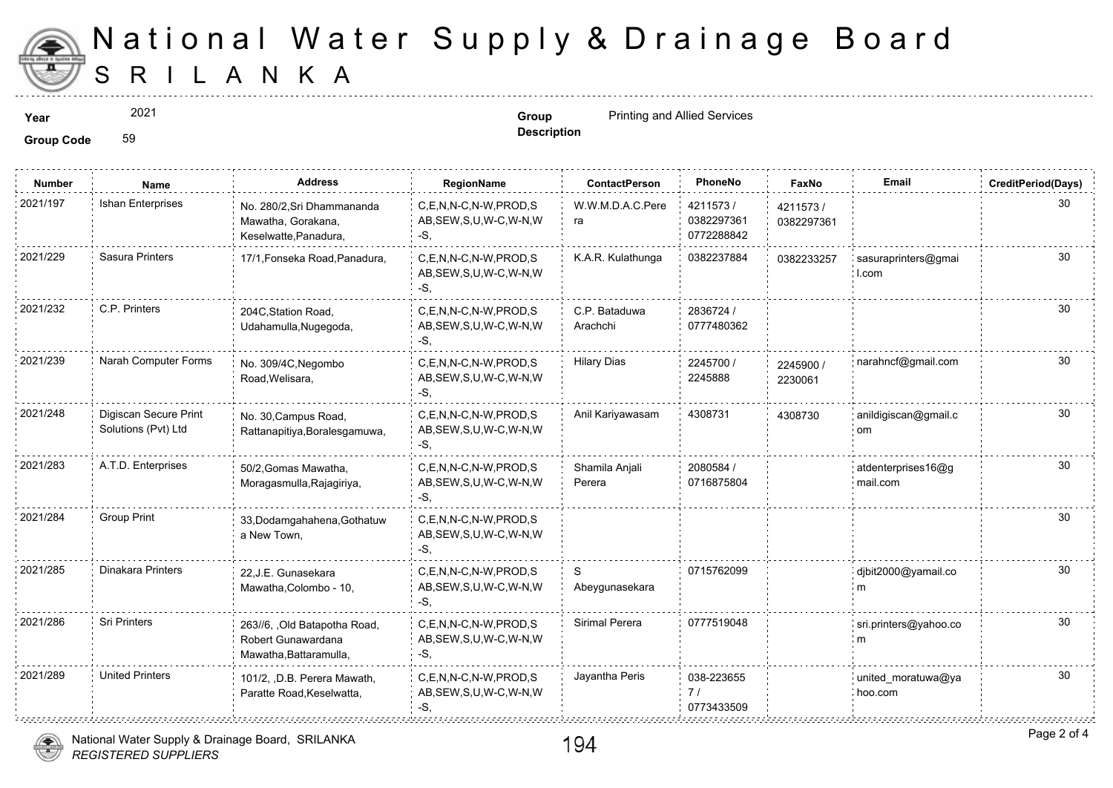

## S R I L A N K A National Water Supply & Drainage

2021

**Description**

**Year Group** Printing and Allied Services

**Group Code** 59

| <b>Number</b> | <b>Name</b>                                  | Address                                                                       | RegionName                                                   | <b>ContactPerson</b>      | PhoneNo                              | Faxl             |
|---------------|----------------------------------------------|-------------------------------------------------------------------------------|--------------------------------------------------------------|---------------------------|--------------------------------------|------------------|
| 2021/197      | <b>Ishan Enterprises</b>                     | No. 280/2, Sri Dhammananda<br>Mawatha, Gorakana,<br>Keselwatte, Panadura,     | C,E,N,N-C,N-W,PROD,S<br>AB, SEW, S, U, W-C, W-N, W<br>-S.    | W.W.M.D.A.C.Pere<br>ra    | 4211573/<br>0382297361<br>0772288842 | 421157<br>038229 |
| 2021/229      | Sasura Printers                              | 17/1, Fonseka Road, Panadura,                                                 | C.E.N.N-C.N-W.PROD.S<br>AB, SEW, S, U, W-C, W-N, W<br>-S.    | K.A.R. Kulathunga         | 0382237884                           | 038223           |
| 2021/232      | C.P. Printers                                | 204C, Station Road,<br>Udahamulla, Nugegoda,                                  | C,E,N,N-C,N-W,PROD,S<br>AB, SEW, S, U, W-C, W-N, W<br>-S.    | C.P. Bataduwa<br>Arachchi | 2836724 /<br>0777480362              |                  |
| 2021/239      | Narah Computer Forms                         | No. 309/4C, Negombo<br>Road, Welisara,                                        | C.E.N.N-C.N-W.PROD.S<br>AB, SEW, S, U, W-C, W-N, W<br>-S.    | <b>Hilary Dias</b>        | 2245700 /<br>2245888                 | 224590<br>223006 |
| 2021/248      | Digiscan Secure Print<br>Solutions (Pvt) Ltd | No. 30, Campus Road,<br>Rattanapitiya, Boralesgamuwa,                         | C.E.N.N-C.N-W.PROD.S<br>AB, SEW, S, U, W-C, W-N, W<br>$-S$ . | Anil Kariyawasam          | 4308731                              | 430873           |
| 2021/283      | A.T.D. Enterprises                           | 50/2, Gomas Mawatha,<br>Moragasmulla, Rajagiriya,                             | C,E,N,N-C,N-W,PROD,S<br>AB, SEW, S, U, W-C, W-N, W<br>-S.    | Shamila Anjali<br>Perera  | 2080584 /<br>0716875804              |                  |
| 2021/284      | <b>Group Print</b>                           | 33, Dodamgahahena, Gothatuw<br>a New Town,                                    | C.E.N.N-C.N-W.PROD.S<br>AB, SEW, S, U, W-C, W-N, W<br>-S.    |                           |                                      |                  |
| 2021/285      | Dinakara Printers                            | 22, J.E. Gunasekara<br>Mawatha, Colombo - 10,                                 | C.E.N.N-C.N-W.PROD.S<br>AB, SEW, S, U, W-C, W-N, W<br>-S.    | S<br>Abeygunasekara       | 0715762099                           |                  |
| 2021/286      | <b>Sri Printers</b>                          | 263//6, , Old Batapotha Road,<br>Robert Gunawardana<br>Mawatha, Battaramulla, | C.E.N.N-C.N-W.PROD.S<br>AB, SEW, S, U, W-C, W-N, W<br>-S,    | Sirimal Perera            | 0777519048                           |                  |
| 2021/289      | <b>United Printers</b>                       | 101/2, , D.B. Perera Mawath,<br>Paratte Road, Keselwatta,                     | C,E,N,N-C,N-W,PROD,S<br>AB, SEW, S, U, W-C, W-N, W<br>-S.    | Jayantha Peris            | 038-223655<br>7/<br>0773433509       |                  |

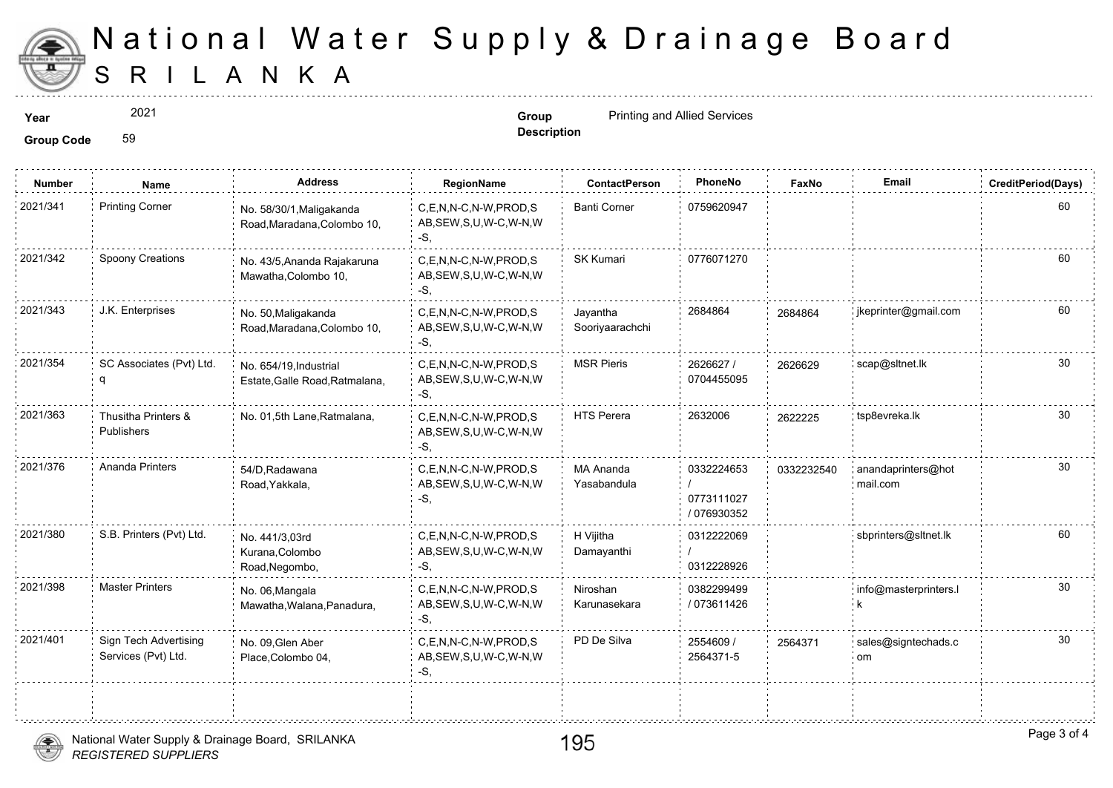

## S R I L A N K A National Water Supply & Drainage

2021

**Description**

**Year Group** Printing and Allied Services

**Group Code** 59

| <b>Number</b> | <b>Name</b>                                  | <b>Address</b>                                           | RegionName                                                   | <b>ContactPerson</b>            | PhoneNo                                 | Faxl   |
|---------------|----------------------------------------------|----------------------------------------------------------|--------------------------------------------------------------|---------------------------------|-----------------------------------------|--------|
| 2021/341      | <b>Printing Corner</b>                       | No. 58/30/1, Maligakanda<br>Road, Maradana, Colombo 10,  | C,E,N,N-C,N-W,PROD,S<br>AB, SEW, S, U, W-C, W-N, W<br>-S,    | <b>Banti Corner</b>             | 0759620947                              |        |
| 2021/342      | Spoony Creations                             | No. 43/5, Ananda Rajakaruna<br>Mawatha, Colombo 10,      | C.E.N.N-C.N-W.PROD.S<br>AB, SEW, S, U, W-C, W-N, W<br>-S,    | <b>SK Kumari</b>                | 0776071270                              |        |
| 2021/343      | J.K. Enterprises                             | No. 50, Maligakanda<br>Road, Maradana, Colombo 10,       | C.E.N.N-C.N-W.PROD.S<br>AB, SEW, S, U, W-C, W-N, W<br>-S,    | Javantha<br>Sooriyaarachchi     | 2684864                                 | 268486 |
| 2021/354      | SC Associates (Pvt) Ltd.                     | No. 654/19, Industrial<br>Estate, Galle Road, Ratmalana, | C,E,N,N-C,N-W,PROD,S<br>AB, SEW, S, U, W-C, W-N, W<br>$-S$ , | <b>MSR Pieris</b>               | 2626627 /<br>0704455095                 | 262662 |
| 2021/363      | Thusitha Printers &<br>Publishers            | No. 01,5th Lane, Ratmalana,                              | C.E.N.N-C.N-W.PROD.S<br>AB, SEW, S, U, W-C, W-N, W<br>$-S$ . | <b>HTS Perera</b>               | 2632006                                 | 262222 |
| 2021/376      | Ananda Printers                              | 54/D, Radawana<br>Road, Yakkala,                         | C,E,N,N-C,N-W,PROD,S<br>AB, SEW, S, U, W-C, W-N, W<br>$-S$ . | <b>MA Ananda</b><br>Yasabandula | 0332224653<br>0773111027<br>/ 076930352 | 033223 |
| 2021/380      | S.B. Printers (Pvt) Ltd.                     | No. 441/3,03rd<br>Kurana, Colombo<br>Road, Negombo,      | C,E,N,N-C,N-W,PROD,S<br>AB, SEW, S, U, W-C, W-N, W<br>$-S$ . | H Vijitha<br>Damayanthi         | 0312222069<br>0312228926                |        |
| 2021/398      | <b>Master Printers</b>                       | No. 06, Mangala<br>Mawatha, Walana, Panadura,            | C.E.N.N-C.N-W.PROD.S<br>AB, SEW, S, U, W-C, W-N, W<br>-S,    | Niroshan<br>Karunasekara        | 0382299499<br>/ 073611426               |        |
| 2021/401      | Sign Tech Advertising<br>Services (Pvt) Ltd. | No. 09, Glen Aber<br>Place, Colombo 04,                  | C.E.N.N-C.N-W.PROD.S<br>AB, SEW, S, U, W-C, W-N, W<br>-S,    | PD De Silva                     | 2554609 /<br>2564371-5                  | 256437 |
|               |                                              |                                                          |                                                              |                                 |                                         |        |